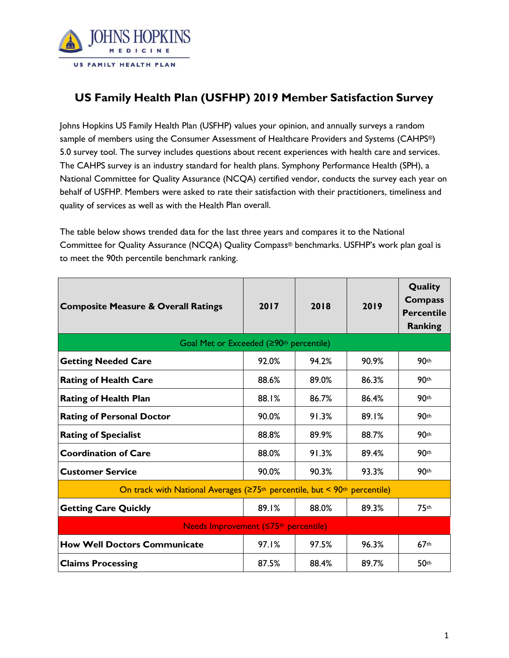

## **US Family Health Plan (USFHP) 2019 Member Satisfaction Survey**

Johns Hopkins US Family Health Plan (USFHP) values your opinion, and annually surveys a random sample of members using the Consumer Assessment of Healthcare Providers and Systems (CAHPS®) 5.0 survey tool. The survey includes questions about recent experiences with health care and services. The CAHPS survey is an industry standard for health plans. Symphony Performance Health (SPH), a National Committee for Quality Assurance (NCQA) certified vendor, conducts the survey each year on behalf of USFHP. Members were asked to rate their satisfaction with their practitioners, timeliness and quality of services as well as with the Health Plan overall.

The table below shows trended data for the last three years and compares it to the National Committee for Quality Assurance (NCQA) Quality Compass® benchmarks. USFHP's work plan goal is to meet the 90th percentile benchmark ranking.

| <b>Composite Measure &amp; Overall Ratings</b>                                                    | 2017  | 2018  | 2019  | Quality<br><b>Compass</b><br><b>Percentile</b><br><b>Ranking</b> |
|---------------------------------------------------------------------------------------------------|-------|-------|-------|------------------------------------------------------------------|
| Goal Met or Exceeded (≥90 <sup>th</sup> percentile)                                               |       |       |       |                                                                  |
| <b>Getting Needed Care</b>                                                                        | 92.0% | 94.2% | 90.9% | 90 <sup>th</sup>                                                 |
| <b>Rating of Health Care</b>                                                                      | 88.6% | 89.0% | 86.3% | 90 <sup>th</sup>                                                 |
| <b>Rating of Health Plan</b>                                                                      | 88.1% | 86.7% | 86.4% | 90 <sup>th</sup>                                                 |
| <b>Rating of Personal Doctor</b>                                                                  | 90.0% | 91.3% | 89.1% | 90 <sup>th</sup>                                                 |
| <b>Rating of Specialist</b>                                                                       | 88.8% | 89.9% | 88.7% | 90th                                                             |
| <b>Coordination of Care</b>                                                                       | 88.0% | 91.3% | 89.4% | 90th                                                             |
| <b>Customer Service</b>                                                                           | 90.0% | 90.3% | 93.3% | 90 <sup>th</sup>                                                 |
| On track with National Averages (≥75 <sup>th</sup> percentile, but < 90 <sup>th</sup> percentile) |       |       |       |                                                                  |
| <b>Getting Care Quickly</b>                                                                       | 89.1% | 88.0% | 89.3% | 75 <sup>th</sup>                                                 |
| Needs Improvement (S75th percentile)                                                              |       |       |       |                                                                  |
| <b>How Well Doctors Communicate</b>                                                               | 97.1% | 97.5% | 96.3% | 67 <sup>th</sup>                                                 |
| <b>Claims Processing</b>                                                                          | 87.5% | 88.4% | 89.7% | 50 <sup>th</sup>                                                 |